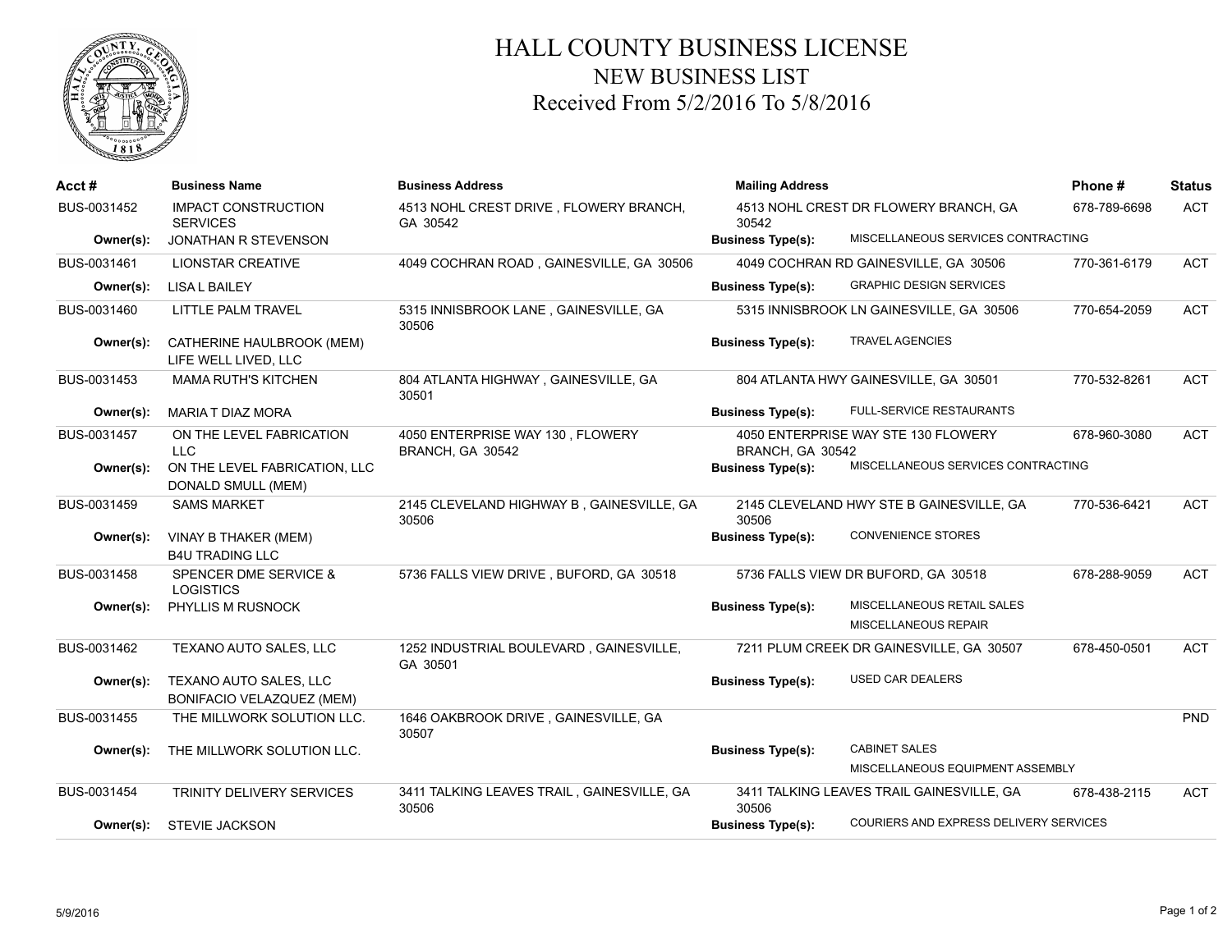

## HALL COUNTY BUSINESS LICENSE NEW BUSINESS LIST Received From 5/2/2016 To 5/8/2016

| Acct#       | <b>Business Name</b>                                 | <b>Business Address</b>                              | <b>Mailing Address</b>   |                                           | Phone#       | <b>Status</b> |
|-------------|------------------------------------------------------|------------------------------------------------------|--------------------------|-------------------------------------------|--------------|---------------|
| BUS-0031452 | <b>IMPACT CONSTRUCTION</b><br><b>SERVICES</b>        | 4513 NOHL CREST DRIVE, FLOWERY BRANCH,<br>GA 30542   | 30542                    | 4513 NOHL CREST DR FLOWERY BRANCH, GA     | 678-789-6698 | <b>ACT</b>    |
| Owner(s):   | <b>JONATHAN R STEVENSON</b>                          |                                                      | <b>Business Type(s):</b> | MISCELLANEOUS SERVICES CONTRACTING        |              |               |
| BUS-0031461 | <b>LIONSTAR CREATIVE</b>                             | 4049 COCHRAN ROAD, GAINESVILLE, GA 30506             |                          | 4049 COCHRAN RD GAINESVILLE, GA 30506     | 770-361-6179 | <b>ACT</b>    |
| Owner(s):   | <b>LISA L BAILEY</b>                                 |                                                      | <b>Business Type(s):</b> | <b>GRAPHIC DESIGN SERVICES</b>            |              |               |
| BUS-0031460 | LITTLE PALM TRAVEL                                   | 5315 INNISBROOK LANE, GAINESVILLE, GA<br>30506       |                          | 5315 INNISBROOK LN GAINESVILLE, GA 30506  | 770-654-2059 | <b>ACT</b>    |
| Owner(s):   | CATHERINE HAULBROOK (MEM)<br>LIFE WELL LIVED, LLC    |                                                      | <b>Business Type(s):</b> | <b>TRAVEL AGENCIES</b>                    |              |               |
| BUS-0031453 | <b>MAMA RUTH'S KITCHEN</b>                           | 804 ATLANTA HIGHWAY, GAINESVILLE, GA<br>30501        |                          | 804 ATLANTA HWY GAINESVILLE, GA 30501     | 770-532-8261 | <b>ACT</b>    |
| Owner(s):   | <b>MARIA T DIAZ MORA</b>                             |                                                      | <b>Business Type(s):</b> | <b>FULL-SERVICE RESTAURANTS</b>           |              |               |
| BUS-0031457 | ON THE LEVEL FABRICATION<br>LLC.                     | 4050 ENTERPRISE WAY 130, FLOWERY<br>BRANCH, GA 30542 | BRANCH, GA 30542         | 4050 ENTERPRISE WAY STE 130 FLOWERY       | 678-960-3080 | <b>ACT</b>    |
| Owner(s):   | ON THE LEVEL FABRICATION, LLC<br>DONALD SMULL (MEM)  |                                                      | <b>Business Type(s):</b> | MISCELLANEOUS SERVICES CONTRACTING        |              |               |
| BUS-0031459 | <b>SAMS MARKET</b>                                   | 2145 CLEVELAND HIGHWAY B, GAINESVILLE, GA<br>30506   | 30506                    | 2145 CLEVELAND HWY STE B GAINESVILLE, GA  | 770-536-6421 | <b>ACT</b>    |
| Owner(s):   | VINAY B THAKER (MEM)<br><b>B4U TRADING LLC</b>       |                                                      | <b>Business Type(s):</b> | <b>CONVENIENCE STORES</b>                 |              |               |
| BUS-0031458 | <b>SPENCER DME SERVICE &amp;</b><br><b>LOGISTICS</b> | 5736 FALLS VIEW DRIVE, BUFORD, GA 30518              |                          | 5736 FALLS VIEW DR BUFORD, GA 30518       | 678-288-9059 | <b>ACT</b>    |
| Owner(s):   | PHYLLIS M RUSNOCK                                    |                                                      | <b>Business Type(s):</b> | MISCELLANEOUS RETAIL SALES                |              |               |
|             |                                                      |                                                      |                          | MISCELLANEOUS REPAIR                      |              |               |
| BUS-0031462 | TEXANO AUTO SALES, LLC                               | 1252 INDUSTRIAL BOULEVARD, GAINESVILLE,<br>GA 30501  |                          | 7211 PLUM CREEK DR GAINESVILLE, GA 30507  | 678-450-0501 | <b>ACT</b>    |
| Owner(s):   | TEXANO AUTO SALES, LLC<br>BONIFACIO VELAZQUEZ (MEM)  |                                                      | <b>Business Type(s):</b> | <b>USED CAR DEALERS</b>                   |              |               |
| BUS-0031455 | THE MILLWORK SOLUTION LLC.                           | 1646 OAKBROOK DRIVE, GAINESVILLE, GA<br>30507        |                          |                                           |              | PND           |
| Owner(s):   | THE MILLWORK SOLUTION LLC.                           |                                                      | <b>Business Type(s):</b> | <b>CABINET SALES</b>                      |              |               |
|             |                                                      |                                                      |                          | MISCELLANEOUS EQUIPMENT ASSEMBLY          |              |               |
| BUS-0031454 | TRINITY DELIVERY SERVICES                            | 3411 TALKING LEAVES TRAIL, GAINESVILLE, GA<br>30506  | 30506                    | 3411 TALKING LEAVES TRAIL GAINESVILLE, GA | 678-438-2115 | <b>ACT</b>    |
| Owner(s):   | <b>STEVIE JACKSON</b>                                |                                                      | <b>Business Type(s):</b> | COURIERS AND EXPRESS DELIVERY SERVICES    |              |               |